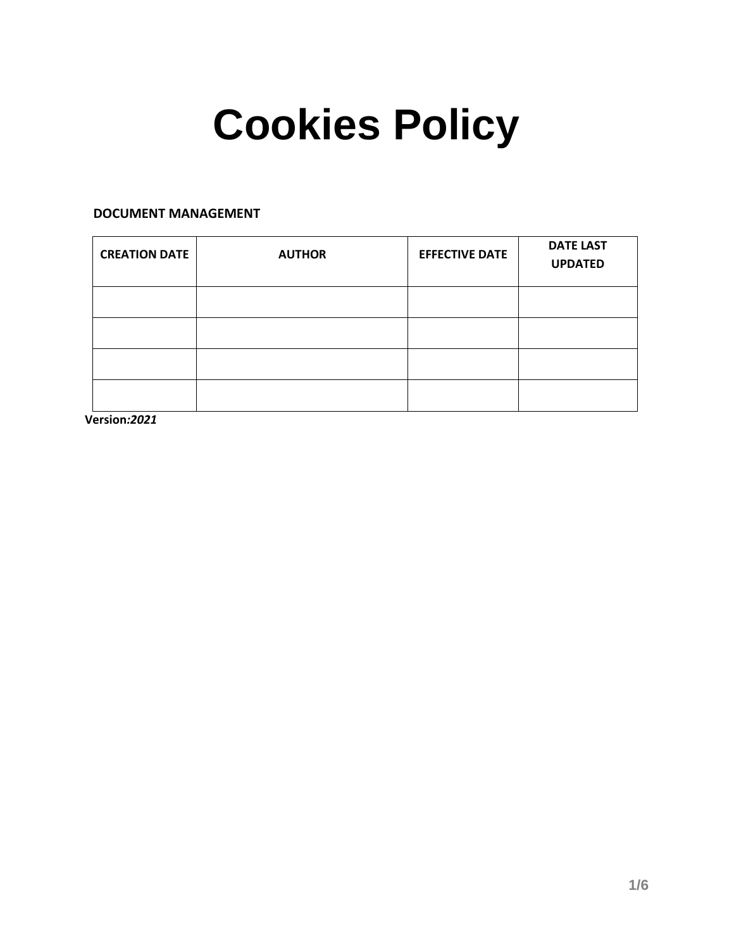# **Cookies Policy**

# **DOCUMENT MANAGEMENT**

| <b>CREATION DATE</b> | <b>AUTHOR</b> | <b>EFFECTIVE DATE</b> | <b>DATE LAST</b><br><b>UPDATED</b> |
|----------------------|---------------|-----------------------|------------------------------------|
|                      |               |                       |                                    |
|                      |               |                       |                                    |
|                      |               |                       |                                    |
|                      |               |                       |                                    |

**Version***:2021*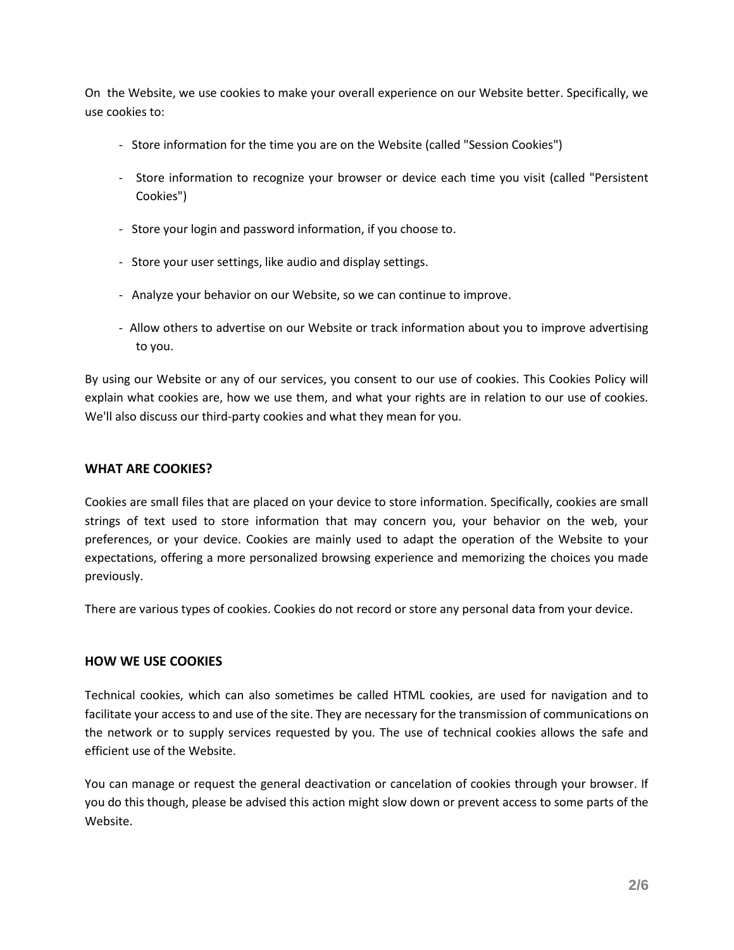On the Website, we use cookies to make your overall experience on our Website better. Specifically, we use cookies to:

- Store information for the time you are on the Website (called "Session Cookies")
- Store information to recognize your browser or device each time you visit (called "Persistent Cookies")
- Store your login and password information, if you choose to.
- Store your user settings, like audio and display settings.
- Analyze your behavior on our Website, so we can continue to improve.
- Allow others to advertise on our Website or track information about you to improve advertising to you.

By using our Website or any of our services, you consent to our use of cookies. This Cookies Policy will explain what cookies are, how we use them, and what your rights are in relation to our use of cookies. We'll also discuss our third-party cookies and what they mean for you.

# **WHAT ARE COOKIES?**

Cookies are small files that are placed on your device to store information. Specifically, cookies are small strings of text used to store information that may concern you, your behavior on the web, your preferences, or your device. Cookies are mainly used to adapt the operation of the Website to your expectations, offering a more personalized browsing experience and memorizing the choices you made previously.

There are various types of cookies. Cookies do not record or store any personal data from your device.

## **HOW WE USE COOKIES**

Technical cookies, which can also sometimes be called HTML cookies, are used for navigation and to facilitate your access to and use of the site. They are necessary for the transmission of communications on the network or to supply services requested by you. The use of technical cookies allows the safe and efficient use of the Website.

You can manage or request the general deactivation or cancelation of cookies through your browser. If you do this though, please be advised this action might slow down or prevent access to some parts of the Website.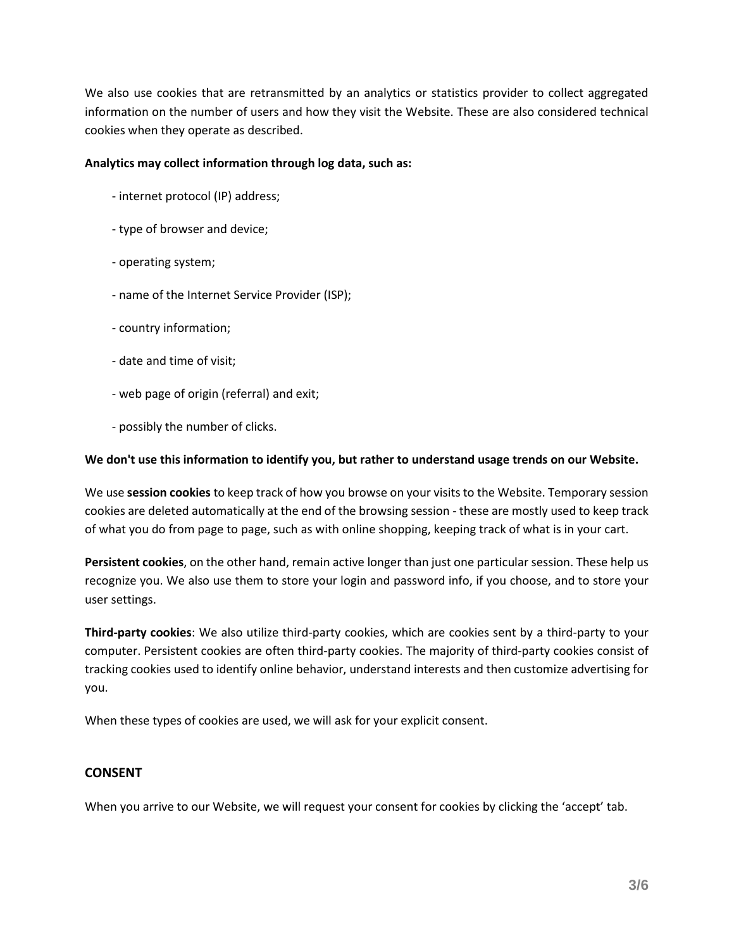We also use cookies that are retransmitted by an analytics or statistics provider to collect aggregated information on the number of users and how they visit the Website. These are also considered technical cookies when they operate as described.

## **Analytics may collect information through log data, such as:**

- internet protocol (IP) address;
- type of browser and device;
- operating system;
- name of the Internet Service Provider (ISP);
- country information;
- date and time of visit;
- web page of origin (referral) and exit;
- possibly the number of clicks.

## **We don't use this information to identify you, but rather to understand usage trends on our Website.**

We use **session cookies** to keep track of how you browse on your visits to the Website. Temporary session cookies are deleted automatically at the end of the browsing session - these are mostly used to keep track of what you do from page to page, such as with online shopping, keeping track of what is in your cart.

**Persistent cookies**, on the other hand, remain active longer than just one particular session. These help us recognize you. We also use them to store your login and password info, if you choose, and to store your user settings.

**Third-party cookies**: We also utilize third-party cookies, which are cookies sent by a third-party to your computer. Persistent cookies are often third-party cookies. The majority of third-party cookies consist of tracking cookies used to identify online behavior, understand interests and then customize advertising for you.

When these types of cookies are used, we will ask for your explicit consent.

# **CONSENT**

When you arrive to our Website, we will request your consent for cookies by clicking the 'accept' tab.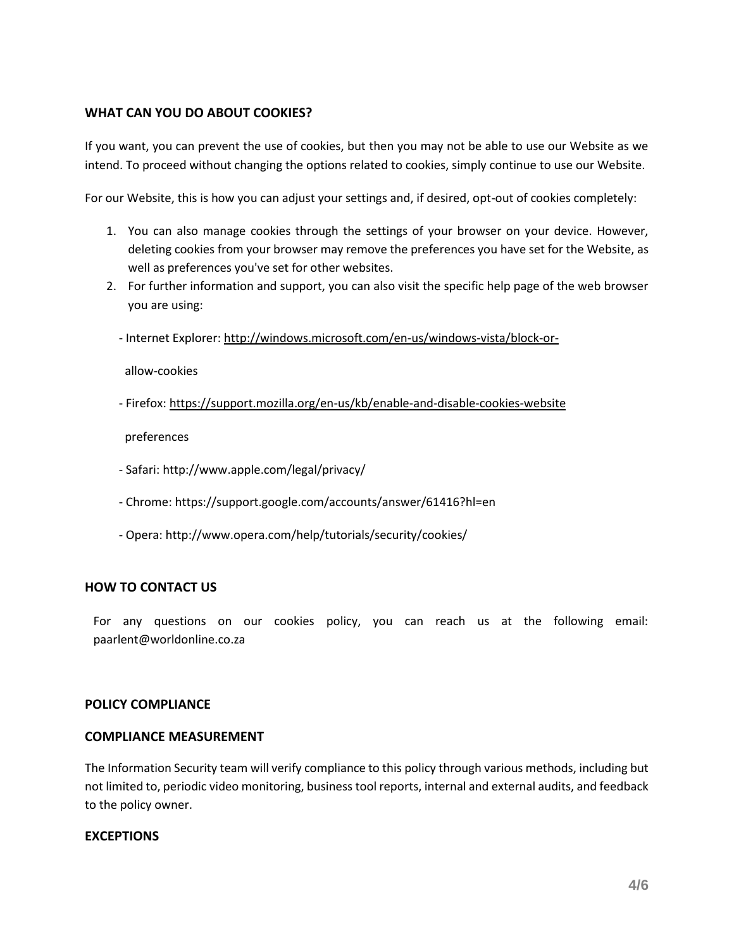# **WHAT CAN YOU DO ABOUT COOKIES?**

If you want, you can prevent the use of cookies, but then you may not be able to use our Website as we intend. To proceed without changing the options related to cookies, simply continue to use our Website.

For our Website, this is how you can adjust your settings and, if desired, opt-out of cookies completely:

- 1. You can also manage cookies through the settings of your browser on your device. However, deleting cookies from your browser may remove the preferences you have set for the Website, as well as preferences you've set for other websites.
- 2. For further information and support, you can also visit the specific help page of the web browser you are using:
	- Internet Explorer:<http://windows.microsoft.com/en-us/windows-vista/block-or->

allow-cookies

- Firefox:<https://support.mozilla.org/en-us/kb/enable-and-disable-cookies-website>

preferences

- Safari: http://www.apple.com/legal/privacy/
- Chrome: https://support.google.com/accounts/answer/61416?hl=en
- Opera: http://www.opera.com/help/tutorials/security/cookies/

# **HOW TO CONTACT US**

For any questions on our cookies policy, you can reach us at the following email: paarlent@worldonline.co.za

## **POLICY COMPLIANCE**

## **COMPLIANCE MEASUREMENT**

The Information Security team will verify compliance to this policy through various methods, including but not limited to, periodic video monitoring, business tool reports, internal and external audits, and feedback to the policy owner.

## **EXCEPTIONS**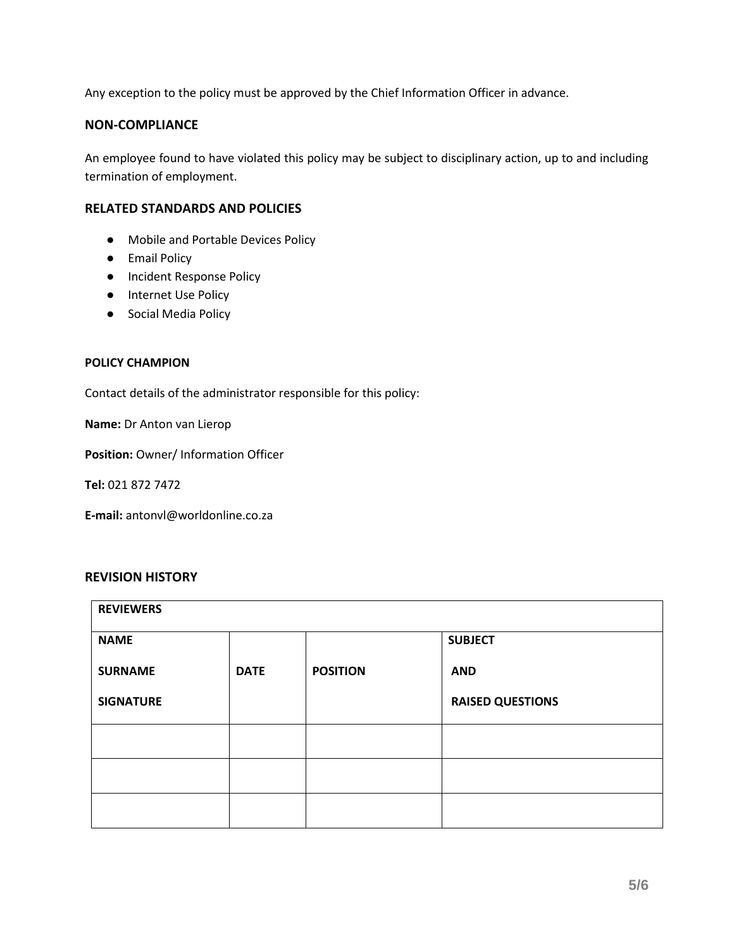Any exception to the policy must be approved by the Chief Information Officer in advance.

# **NON-COMPLIANCE**

An employee found to have violated this policy may be subject to disciplinary action, up to and including termination of employment.

## **RELATED STANDARDS AND POLICIES**

- Mobile and Portable Devices Policy
- Email Policy
- Incident Response Policy
- Internet Use Policy
- Social Media Policy

## **POLICY CHAMPION**

Contact details of the administrator responsible for this policy:

**Name:** Dr Anton van Lierop

**Position: Owner/ Information Officer** 

**Tel:** 021 872 7472

**E-mail:** antonvl@worldonline.co.za

## **REVISION HISTORY**

| <b>REVIEWERS</b> |             |                 |                         |  |  |
|------------------|-------------|-----------------|-------------------------|--|--|
| <b>NAME</b>      |             |                 | <b>SUBJECT</b>          |  |  |
| <b>SURNAME</b>   | <b>DATE</b> | <b>POSITION</b> | <b>AND</b>              |  |  |
| <b>SIGNATURE</b> |             |                 | <b>RAISED QUESTIONS</b> |  |  |
|                  |             |                 |                         |  |  |
|                  |             |                 |                         |  |  |
|                  |             |                 |                         |  |  |